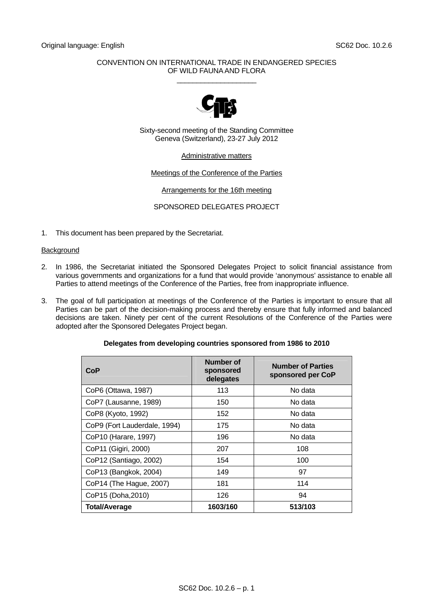### CONVENTION ON INTERNATIONAL TRADE IN ENDANGERED SPECIES OF WILD FAUNA AND FLORA \_\_\_\_\_\_\_\_\_\_\_\_\_\_\_\_\_\_\_\_



Sixty-second meeting of the Standing Committee Geneva (Switzerland), 23-27 July 2012

## Administrative matters

## Meetings of the Conference of the Parties

## Arrangements for the 16th meeting

## SPONSORED DELEGATES PROJECT

1. This document has been prepared by the Secretariat.

# **Background**

- 2. In 1986, the Secretariat initiated the Sponsored Delegates Project to solicit financial assistance from various governments and organizations for a fund that would provide 'anonymous' assistance to enable all Parties to attend meetings of the Conference of the Parties, free from inappropriate influence.
- 3. The goal of full participation at meetings of the Conference of the Parties is important to ensure that all Parties can be part of the decision-making process and thereby ensure that fully informed and balanced decisions are taken. Ninety per cent of the current Resolutions of the Conference of the Parties were adopted after the Sponsored Delegates Project began.

| <b>CoP</b>                   | <b>Number of</b><br>sponsored<br>delegates | <b>Number of Parties</b><br>sponsored per CoP |
|------------------------------|--------------------------------------------|-----------------------------------------------|
| CoP6 (Ottawa, 1987)          | 113                                        | No data                                       |
| CoP7 (Lausanne, 1989)        | 150                                        | No data                                       |
| CoP8 (Kyoto, 1992)           | 152                                        | No data                                       |
| CoP9 (Fort Lauderdale, 1994) | 175                                        | No data                                       |
| CoP10 (Harare, 1997)         | 196                                        | No data                                       |
| CoP11 (Gigiri, 2000)         | 207                                        | 108                                           |
| CoP12 (Santiago, 2002)       | 154                                        | 100                                           |
| CoP13 (Bangkok, 2004)        | 149                                        | 97                                            |
| CoP14 (The Hague, 2007)      | 181                                        | 114                                           |
| CoP15 (Doha, 2010)           | 126                                        | 94                                            |
| <b>Total/Average</b>         | 1603/160                                   | 513/103                                       |

#### **Delegates from developing countries sponsored from 1986 to 2010**